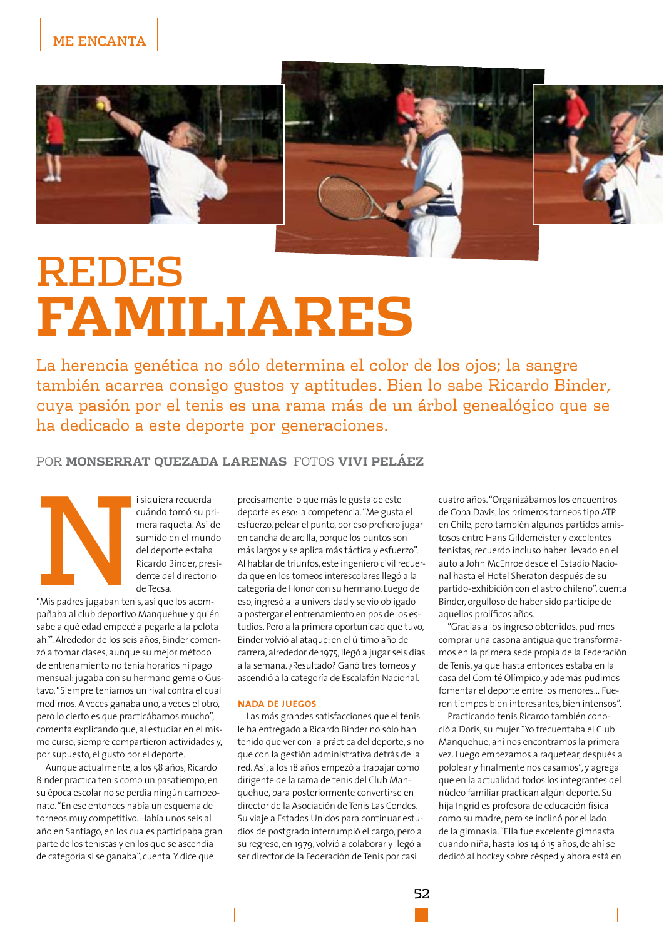

## **REDES FAMILIARES**

La herencia genética no sólo determina el color de los ojos; la sangre también acarrea consigo gustos y aptitudes. Bien lo sabe Ricardo Binder, cuya pasión por el tenis es una rama más de un árbol genealógico que se ha dedicado a este deporte por generaciones.

## POR MONSERRAT OUEZADA LARENAS FOTOS VIVI PELÁEZ

i siquiera recuerda cuándo tomó su primera raqueta. Así de sumido en el mundo del deporte estaba Ricardo Binder, presidente del directorio de Tecsa.

"Mis padres jugaban tenis, así que los acompañaba al club deportivo Manquehue y quién sabe a qué edad empecé a pegarle a la pelota ahí". Alrededor de los seis años, Binder comenzó a tomar clases, aunque su mejor método de entrenamiento no tenía horarios ni pago mensual: jugaba con su hermano gemelo Gustavo. "Siempre teníamos un rival contra el cual medirnos. A veces ganaba uno, a veces el otro, pero lo cierto es que practicábamos mucho", comenta explicando que, al estudiar en el mismo curso, siempre compartieron actividades y, por supuesto, el gusto por el deporte.

Aunque actualmente, a los 58 años, Ricardo Binder practica tenis como un pasatiempo, en su época escolar no se perdía ningún campeonato. "En ese entonces había un esquema de torneos muy competitivo. Había unos seis al año en Santiago, en los cuales participaba gran parte de los tenistas y en los que se ascendía de categoría si se ganaba", cuenta. Y dice que

precisamente lo que más le gusta de este deporte es eso: la competencia. "Me gusta el esfuerzo, pelear el punto, por eso prefiero jugar en cancha de arcilla, porque los puntos son más largos y se aplica más táctica y esfuerzo". Al hablar de triunfos, este ingeniero civil recuerda que en los torneos interescolares llegó a la categoría de Honor con su hermano. Luego de eso, ingresó a la universidad y se vio obligado a postergar el entrenamiento en pos de los estudios. Pero a la primera oportunidad que tuvo, Binder volvió al ataque: en el último año de carrera, alrededor de 1975, llegó a jugar seis días a la semana. ¿Resultado? Ganó tres torneos y ascendió a la categoría de Escalafón Nacional.

## **NADA DE JUEGOS**

Las más grandes satisfacciones que el tenis le ha entregado a Ricardo Binder no sólo han tenido que ver con la práctica del deporte, sino que con la gestión administrativa detrás de la red. Así, a los 18 años empezó a trabajar como dirigente de la rama de tenis del Club Manquehue, para posteriormente convertirse en director de la Asociación de Tenis Las Condes. Su viaje a Estados Unidos para continuar estudios de postgrado interrumpió el cargo, pero a su regreso, en 1979, volvió a colaborar y llegó a ser director de la Federación de Tenis por casi

cuatro años. "Organizábamos los encuentros de Copa Davis, los primeros torneos tipo ATP en Chile, pero también algunos partidos amistosos entre Hans Gildemeister y excelentes tenistas: recuerdo incluso haber llevado en el auto a John McEnroe desde el Estadio Nacional hasta el Hotel Sheraton después de su partido-exhibición con el astro chileno", cuenta Binder, orgulloso de haber sido partícipe de aquellos prolíficos años.

"Gracias a los ingreso obtenidos, pudimos comprar una casona antigua que transformamos en la primera sede propia de la Federación de Tenis, ya que hasta entonces estaba en la casa del Comité Olímpico, y además pudimos fomentar el deporte entre los menores... Fueron tiempos bien interesantes, bien intensos".

Practicando tenis Ricardo también conoció a Doris, su mujer. "Yo frecuentaba el Club Manquehue, ahí nos encontramos la primera vez. Luego empezamos a raquetear, después a pololear y finalmente nos casamos", y agrega que en la actualidad todos los integrantes del núcleo familiar practican algún deporte. Su hija Ingrid es profesora de educación física como su madre, pero se inclinó por el lado de la gimnasia. "Ella fue excelente gimnasta cuando niña, hasta los 14 ó 15 años, de ahí se dedicó al hockey sobre césped y ahora está en